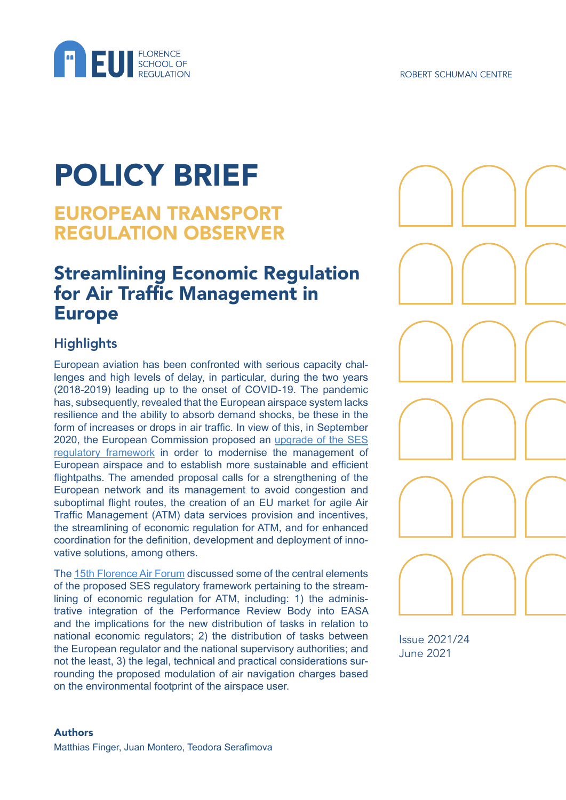

# POLICY BRIEF

# EUROPEAN TRANSPORT REGULATION OBSERVER

# Streamlining Economic Regulation for Air Traffic Management in Europe

# **Highlights**

European aviation has been confronted with serious capacity challenges and high levels of delay, in particular, during the two years (2018-2019) leading up to the onset of COVID-19. The pandemic has, subsequently, revealed that the European airspace system lacks resilience and the ability to absorb demand shocks, be these in the form of increases or drops in air traffic. In view of this, in September 2020, the European Commission proposed an upgrade of the SES regulatory framework in order to modernise the management of European airspace and to establish more sustainable and efficient flightpaths. The amended proposal calls for a strengthening of the European network and its management to avoid congestion and suboptimal flight routes, the creation of an EU market for agile Air Traffic Management (ATM) data services provision and incentives, the streamlining of economic regulation for ATM, and for enhanced coordination for the definition, development and deployment of innovative solutions, among others.

The 15th Florence Air Forum discussed some of the central elements of the proposed SES regulatory framework pertaining to the streamlining of economic regulation for ATM, including: 1) the administrative integration of the Performance Review Body into EASA and the implications for the new distribution of tasks in relation to national economic regulators; 2) the distribution of tasks between the European regulator and the national supervisory authorities; and not the least, 3) the legal, technical and practical considerations surrounding the proposed modulation of air navigation charges based on the environmental footprint of the airspace user.



Issue 2021/24 June 2021

# Authors Matthias Finger, Juan Montero, Teodora Serafimova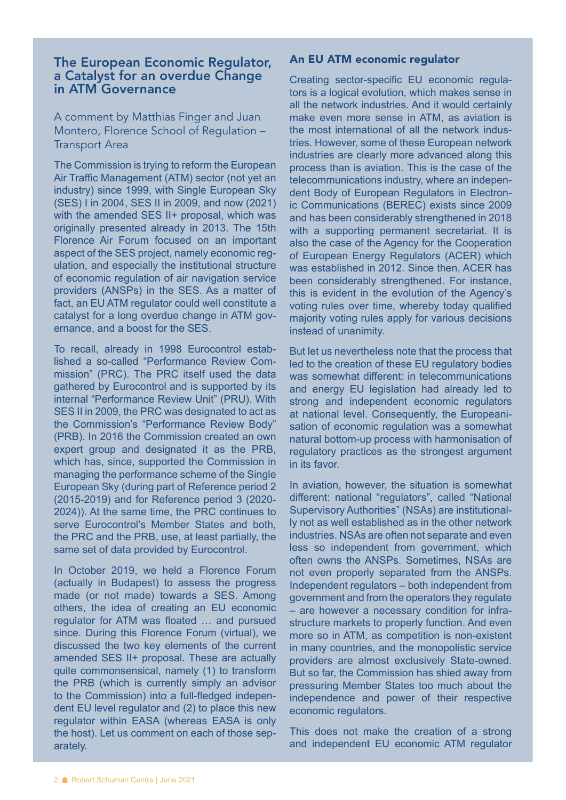#### The European Economic Regulator, a Catalyst for an overdue Change in ATM Governance

A comment by Matthias Finger and Juan Montero, Florence School of Regulation – Transport Area

The Commission is trying to reform the European Air Traffic Management (ATM) sector (not yet an industry) since 1999, with Single European Sky (SES) I in 2004, SES II in 2009, and now (2021) with the amended SES II+ proposal, which was originally presented already in 2013. The 15th Florence Air Forum focused on an important aspect of the SES project, namely economic regulation, and especially the institutional structure of economic regulation of air navigation service providers (ANSPs) in the SES. As a matter of fact, an EU ATM regulator could well constitute a catalyst for a long overdue change in ATM governance, and a boost for the SES.

To recall, already in 1998 Eurocontrol established a so-called "Performance Review Commission" (PRC). The PRC itself used the data gathered by Eurocontrol and is supported by its internal "Performance Review Unit" (PRU). With SES II in 2009, the PRC was designated to act as the Commission's "Performance Review Body" (PRB). In 2016 the Commission created an own expert group and designated it as the PRB, which has, since, supported the Commission in managing the performance scheme of the Single European Sky (during part of Reference period 2 (2015-2019) and for Reference period 3 (2020- 2024)). At the same time, the PRC continues to serve Eurocontrol's Member States and both, the PRC and the PRB, use, at least partially, the same set of data provided by Eurocontrol.

In October 2019, we held a Florence Forum (actually in Budapest) to assess the progress made (or not made) towards a SES. Among others, the idea of creating an EU economic regulator for ATM was floated … and pursued since. During this Florence Forum (virtual), we discussed the two key elements of the current amended SES II+ proposal. These are actually quite commonsensical, namely (1) to transform the PRB (which is currently simply an advisor to the Commission) into a full-fledged independent EU level regulator and (2) to place this new regulator within EASA (whereas EASA is only the host). Let us comment on each of those separately.

#### An EU ATM economic regulator

Creating sector-specific EU economic regulators is a logical evolution, which makes sense in all the network industries. And it would certainly make even more sense in ATM, as aviation is the most international of all the network industries. However, some of these European network industries are clearly more advanced along this process than is aviation. This is the case of the telecommunications industry, where an independent Body of European Regulators in Electronic Communications (BEREC) exists since 2009 and has been considerably strengthened in 2018 with a supporting permanent secretariat. It is also the case of the Agency for the Cooperation of European Energy Regulators (ACER) which was established in 2012. Since then, ACER has been considerably strengthened. For instance, this is evident in the evolution of the Agency's voting rules over time, whereby today qualified majority voting rules apply for various decisions instead of unanimity.

But let us nevertheless note that the process that led to the creation of these EU regulatory bodies was somewhat different: in telecommunications and energy EU legislation had already led to strong and independent economic regulators at national level. Consequently, the Europeanisation of economic regulation was a somewhat natural bottom-up process with harmonisation of regulatory practices as the strongest argument in its favor.

In aviation, however, the situation is somewhat different: national "regulators", called "National Supervisory Authorities" (NSAs) are institutionally not as well established as in the other network industries. NSAs are often not separate and even less so independent from government, which often owns the ANSPs. Sometimes, NSAs are not even properly separated from the ANSPs. Independent regulators – both independent from government and from the operators they regulate – are however a necessary condition for infrastructure markets to properly function. And even more so in ATM, as competition is non-existent in many countries, and the monopolistic service providers are almost exclusively State-owned. But so far, the Commission has shied away from pressuring Member States too much about the independence and power of their respective economic regulators.

This does not make the creation of a strong and independent EU economic ATM regulator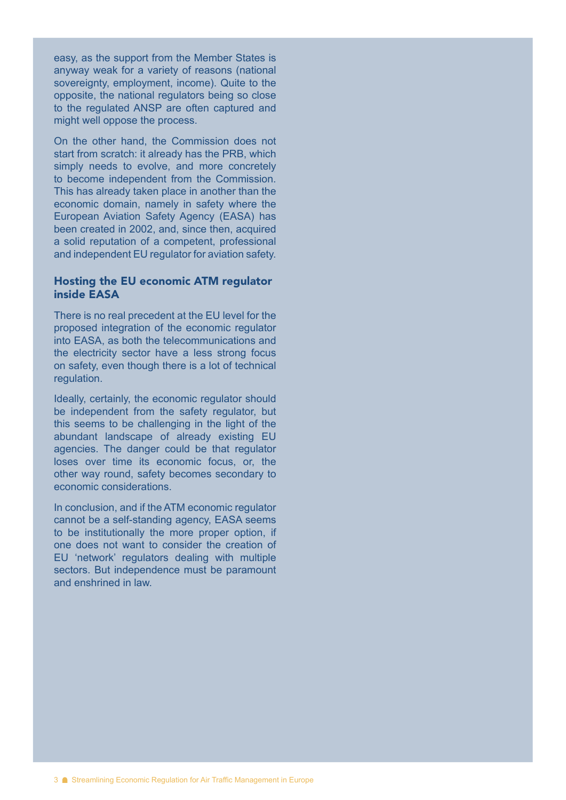easy, as the support from the Member States is anyway weak for a variety of reasons (national sovereignty, employment, income). Quite to the opposite, the national regulators being so close to the regulated ANSP are often captured and might well oppose the process.

On the other hand, the Commission does not start from scratch: it already has the PRB, which simply needs to evolve, and more concretely to become independent from the Commission. This has already taken place in another than the economic domain, namely in safety where the European Aviation Safety Agency (EASA) has been created in 2002, and, since then, acquired a solid reputation of a competent, professional and independent EU regulator for aviation safety.

#### Hosting the EU economic ATM regulator inside EASA

There is no real precedent at the EU level for the proposed integration of the economic regulator into EASA, as both the telecommunications and the electricity sector have a less strong focus on safety, even though there is a lot of technical regulation.

Ideally, certainly, the economic regulator should be independent from the safety regulator, but this seems to be challenging in the light of the abundant landscape of already existing EU agencies. The danger could be that regulator loses over time its economic focus, or, the other way round, safety becomes secondary to economic considerations.

In conclusion, and if the ATM economic regulator cannot be a self-standing agency, EASA seems to be institutionally the more proper option, if one does not want to consider the creation of EU 'network' regulators dealing with multiple sectors. But independence must be paramount and enshrined in law.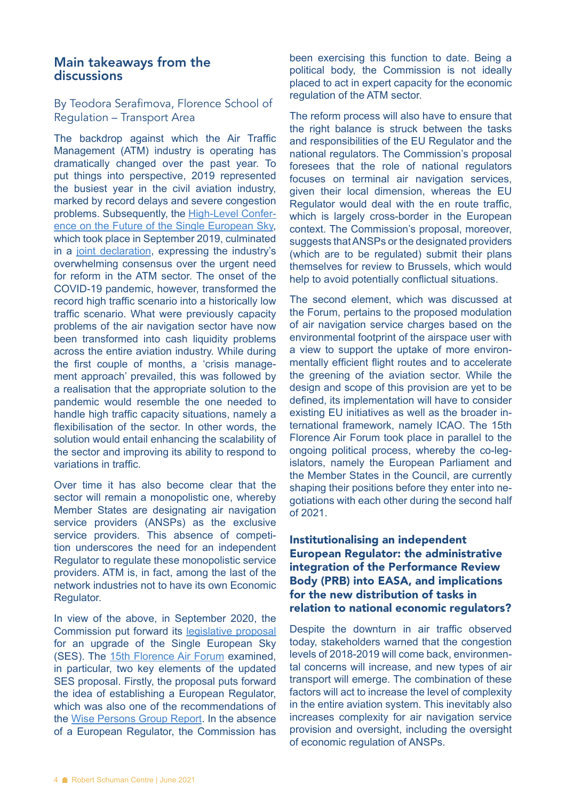#### Main takeaways from the discussions

By Teodora Serafimova, Florence School of Regulation – Transport Area

The backdrop against which the Air Traffic Management (ATM) industry is operating has dramatically changed over the past year. To put things into perspective, 2019 represented the busiest year in the civil aviation industry, marked by record delays and severe congestion problems. Subsequently, the High-Level Conference on the Future of the Single European Sky, which took place in September 2019, culminated in a joint declaration, expressing the industry's overwhelming consensus over the urgent need for reform in the ATM sector. The onset of the COVID-19 pandemic, however, transformed the record high traffic scenario into a historically low traffic scenario. What were previously capacity problems of the air navigation sector have now been transformed into cash liquidity problems across the entire aviation industry. While during the first couple of months, a 'crisis management approach' prevailed, this was followed by a realisation that the appropriate solution to the pandemic would resemble the one needed to handle high traffic capacity situations, namely a flexibilisation of the sector. In other words, the solution would entail enhancing the scalability of the sector and improving its ability to respond to variations in traffic.

Over time it has also become clear that the sector will remain a monopolistic one, whereby Member States are designating air navigation service providers (ANSPs) as the exclusive service providers. This absence of competition underscores the need for an independent Regulator to regulate these monopolistic service providers. ATM is, in fact, among the last of the network industries not to have its own Economic Regulator.

In view of the above, in September 2020, the Commission put forward its legislative proposal for an upgrade of the Single European Sky (SES). The 15th Florence Air Forum examined, in particular, two key elements of the updated SES proposal. Firstly, the proposal puts forward the idea of establishing a European Regulator, which was also one of the recommendations of the Wise Persons Group Report. In the absence of a European Regulator, the Commission has been exercising this function to date. Being a political body, the Commission is not ideally placed to act in expert capacity for the economic regulation of the ATM sector.

The reform process will also have to ensure that the right balance is struck between the tasks and responsibilities of the EU Regulator and the national regulators. The Commission's proposal foresees that the role of national regulators focuses on terminal air navigation services, given their local dimension, whereas the EU Regulator would deal with the en route traffic, which is largely cross-border in the European context. The Commission's proposal, moreover, suggests that ANSPs or the designated providers (which are to be regulated) submit their plans themselves for review to Brussels, which would help to avoid potentially conflictual situations.

The second element, which was discussed at the Forum, pertains to the proposed modulation of air navigation service charges based on the environmental footprint of the airspace user with a view to support the uptake of more environmentally efficient flight routes and to accelerate the greening of the aviation sector. While the design and scope of this provision are yet to be defined, its implementation will have to consider existing EU initiatives as well as the broader international framework, namely ICAO. The 15th Florence Air Forum took place in parallel to the ongoing political process, whereby the co-legislators, namely the European Parliament and the Member States in the Council, are currently shaping their positions before they enter into negotiations with each other during the second half of 2021.

#### Institutionalising an independent European Regulator: the administrative integration of the Performance Review Body (PRB) into EASA, and implications for the new distribution of tasks in relation to national economic regulators?

Despite the downturn in air traffic observed today, stakeholders warned that the congestion levels of 2018-2019 will come back, environmental concerns will increase, and new types of air transport will emerge. The combination of these factors will act to increase the level of complexity in the entire aviation system. This inevitably also increases complexity for air navigation service provision and oversight, including the oversight of economic regulation of ANSPs.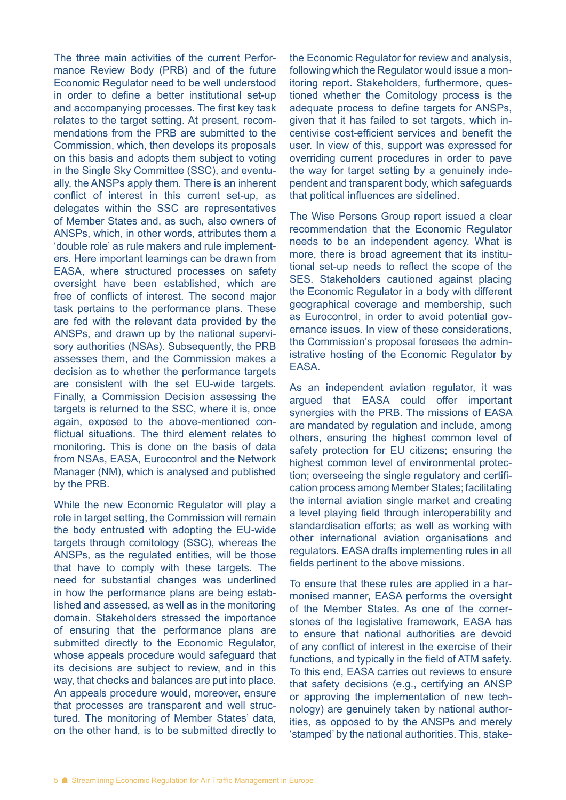The three main activities of the current Performance Review Body (PRB) and of the future Economic Regulator need to be well understood in order to define a better institutional set-up and accompanying processes. The first key task relates to the target setting. At present, recommendations from the PRB are submitted to the Commission, which, then develops its proposals on this basis and adopts them subject to voting in the Single Sky Committee (SSC), and eventually, the ANSPs apply them. There is an inherent conflict of interest in this current set-up, as delegates within the SSC are representatives of Member States and, as such, also owners of ANSPs, which, in other words, attributes them a 'double role' as rule makers and rule implementers. Here important learnings can be drawn from EASA, where structured processes on safety oversight have been established, which are free of conflicts of interest. The second major task pertains to the performance plans. These are fed with the relevant data provided by the ANSPs, and drawn up by the national supervisory authorities (NSAs). Subsequently, the PRB assesses them, and the Commission makes a decision as to whether the performance targets are consistent with the set EU-wide targets. Finally, a Commission Decision assessing the targets is returned to the SSC, where it is, once again, exposed to the above-mentioned conflictual situations. The third element relates to monitoring. This is done on the basis of data from NSAs, EASA, Eurocontrol and the Network Manager (NM), which is analysed and published by the PRB.

While the new Economic Regulator will play a role in target setting, the Commission will remain the body entrusted with adopting the EU-wide targets through comitology (SSC), whereas the ANSPs, as the regulated entities, will be those that have to comply with these targets. The need for substantial changes was underlined in how the performance plans are being established and assessed, as well as in the monitoring domain. Stakeholders stressed the importance of ensuring that the performance plans are submitted directly to the Economic Regulator, whose appeals procedure would safeguard that its decisions are subject to review, and in this way, that checks and balances are put into place. An appeals procedure would, moreover, ensure that processes are transparent and well structured. The monitoring of Member States' data, on the other hand, is to be submitted directly to

the Economic Regulator for review and analysis, following which the Regulator would issue a monitoring report. Stakeholders, furthermore, questioned whether the Comitology process is the adequate process to define targets for ANSPs, given that it has failed to set targets, which incentivise cost-efficient services and benefit the user. In view of this, support was expressed for overriding current procedures in order to pave the way for target setting by a genuinely independent and transparent body, which safeguards that political influences are sidelined.

The Wise Persons Group report issued a clear recommendation that the Economic Regulator needs to be an independent agency. What is more, there is broad agreement that its institutional set-up needs to reflect the scope of the SES. Stakeholders cautioned against placing the Economic Regulator in a body with different geographical coverage and membership, such as Eurocontrol, in order to avoid potential governance issues. In view of these considerations, the Commission's proposal foresees the administrative hosting of the Economic Regulator by EASA.

As an independent aviation regulator, it was argued that EASA could offer important synergies with the PRB. The missions of EASA are mandated by regulation and include, among others, ensuring the highest common level of safety protection for EU citizens; ensuring the highest common level of environmental protection; overseeing the single regulatory and certification process among Member States; facilitating the internal aviation single market and creating a level playing field through interoperability and standardisation efforts; as well as working with other international aviation organisations and regulators. EASA drafts implementing rules in all fields pertinent to the above missions.

To ensure that these rules are applied in a harmonised manner, EASA performs the oversight of the Member States. As one of the cornerstones of the legislative framework, EASA has to ensure that national authorities are devoid of any conflict of interest in the exercise of their functions, and typically in the field of ATM safety. To this end, EASA carries out reviews to ensure that safety decisions (e.g., certifying an ANSP or approving the implementation of new technology) are genuinely taken by national authorities, as opposed to by the ANSPs and merely 'stamped' by the national authorities. This, stake-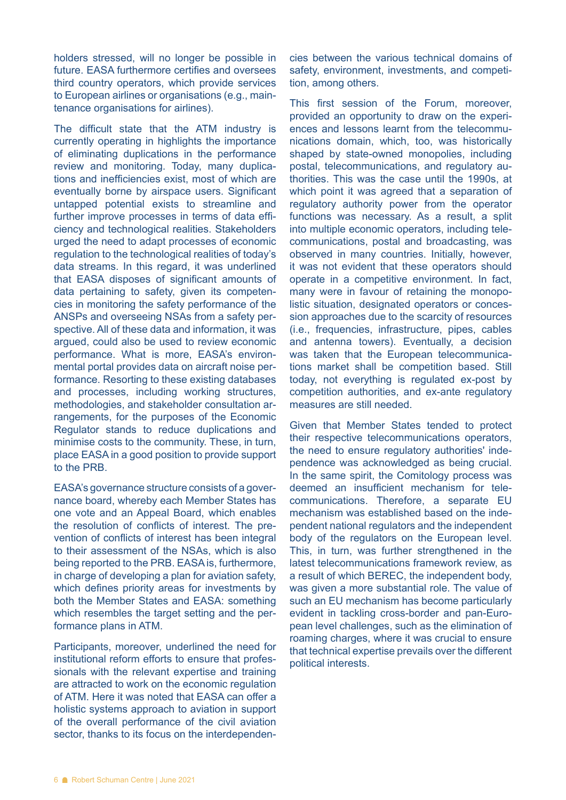holders stressed, will no longer be possible in future. EASA furthermore certifies and oversees third country operators, which provide services to European airlines or organisations (e.g., maintenance organisations for airlines).

The difficult state that the ATM industry is currently operating in highlights the importance of eliminating duplications in the performance review and monitoring. Today, many duplications and inefficiencies exist, most of which are eventually borne by airspace users. Significant untapped potential exists to streamline and further improve processes in terms of data efficiency and technological realities. Stakeholders urged the need to adapt processes of economic regulation to the technological realities of today's data streams. In this regard, it was underlined that EASA disposes of significant amounts of data pertaining to safety, given its competencies in monitoring the safety performance of the ANSPs and overseeing NSAs from a safety perspective. All of these data and information, it was argued, could also be used to review economic performance. What is more, EASA's environmental portal provides data on aircraft noise performance. Resorting to these existing databases and processes, including working structures, methodologies, and stakeholder consultation arrangements, for the purposes of the Economic Regulator stands to reduce duplications and minimise costs to the community. These, in turn, place EASA in a good position to provide support to the PRB.

EASA's governance structure consists of a governance board, whereby each Member States has one vote and an Appeal Board, which enables the resolution of conflicts of interest. The prevention of conflicts of interest has been integral to their assessment of the NSAs, which is also being reported to the PRB. EASA is, furthermore, in charge of developing a plan for aviation safety, which defines priority areas for investments by both the Member States and EASA: something which resembles the target setting and the performance plans in ATM.

Participants, moreover, underlined the need for institutional reform efforts to ensure that professionals with the relevant expertise and training are attracted to work on the economic regulation of ATM. Here it was noted that EASA can offer a holistic systems approach to aviation in support of the overall performance of the civil aviation sector, thanks to its focus on the interdependen-

cies between the various technical domains of safety, environment, investments, and competition, among others.

This first session of the Forum, moreover, provided an opportunity to draw on the experiences and lessons learnt from the telecommunications domain, which, too, was historically shaped by state-owned monopolies, including postal, telecommunications, and regulatory authorities. This was the case until the 1990s, at which point it was agreed that a separation of regulatory authority power from the operator functions was necessary. As a result, a split into multiple economic operators, including telecommunications, postal and broadcasting, was observed in many countries. Initially, however, it was not evident that these operators should operate in a competitive environment. In fact, many were in favour of retaining the monopolistic situation, designated operators or concession approaches due to the scarcity of resources (i.e., frequencies, infrastructure, pipes, cables and antenna towers). Eventually, a decision was taken that the European telecommunications market shall be competition based. Still today, not everything is regulated ex-post by competition authorities, and ex-ante regulatory measures are still needed.

Given that Member States tended to protect their respective telecommunications operators, the need to ensure regulatory authorities' independence was acknowledged as being crucial. In the same spirit, the Comitology process was deemed an insufficient mechanism for telecommunications. Therefore, a separate EU mechanism was established based on the independent national regulators and the independent body of the regulators on the European level. This, in turn, was further strengthened in the latest telecommunications framework review, as a result of which BEREC, the independent body, was given a more substantial role. The value of such an EU mechanism has become particularly evident in tackling cross-border and pan-European level challenges, such as the elimination of roaming charges, where it was crucial to ensure that technical expertise prevails over the different political interests.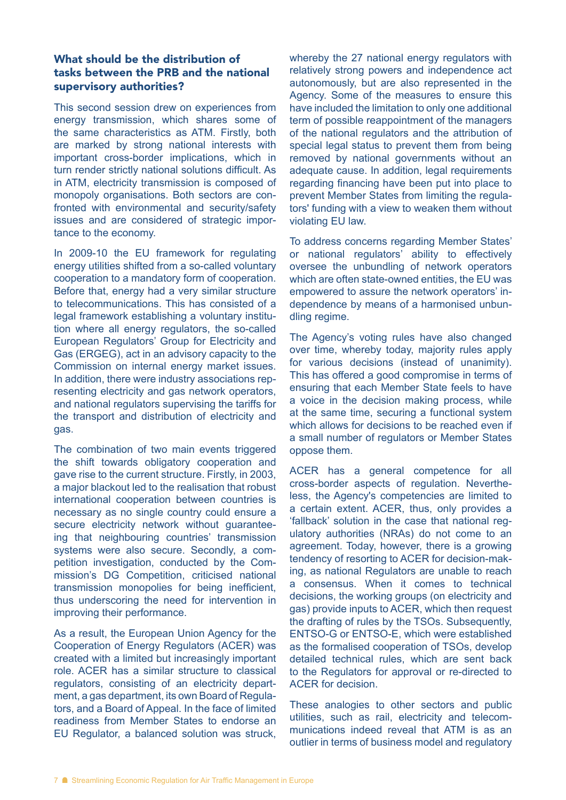### What should be the distribution of tasks between the PRB and the national supervisory authorities?

This second session drew on experiences from energy transmission, which shares some of the same characteristics as ATM. Firstly, both are marked by strong national interests with important cross-border implications, which in turn render strictly national solutions difficult. As in ATM, electricity transmission is composed of monopoly organisations. Both sectors are confronted with environmental and security/safety issues and are considered of strategic importance to the economy.

In 2009-10 the EU framework for regulating energy utilities shifted from a so-called voluntary cooperation to a mandatory form of cooperation. Before that, energy had a very similar structure to telecommunications. This has consisted of a legal framework establishing a voluntary institution where all energy regulators, the so-called European Regulators' Group for Electricity and Gas (ERGEG), act in an advisory capacity to the Commission on internal energy market issues. In addition, there were industry associations representing electricity and gas network operators, and national regulators supervising the tariffs for the transport and distribution of electricity and gas.

The combination of two main events triggered the shift towards obligatory cooperation and gave rise to the current structure. Firstly, in 2003, a major blackout led to the realisation that robust international cooperation between countries is necessary as no single country could ensure a secure electricity network without guaranteeing that neighbouring countries' transmission systems were also secure. Secondly, a competition investigation, conducted by the Commission's DG Competition, criticised national transmission monopolies for being inefficient, thus underscoring the need for intervention in improving their performance.

As a result, the European Union Agency for the Cooperation of Energy Regulators (ACER) was created with a limited but increasingly important role. ACER has a similar structure to classical regulators, consisting of an electricity department, a gas department, its own Board of Regulators, and a Board of Appeal. In the face of limited readiness from Member States to endorse an EU Regulator, a balanced solution was struck,

whereby the 27 national energy regulators with relatively strong powers and independence act autonomously, but are also represented in the Agency. Some of the measures to ensure this have included the limitation to only one additional term of possible reappointment of the managers of the national regulators and the attribution of special legal status to prevent them from being removed by national governments without an adequate cause. In addition, legal requirements regarding financing have been put into place to prevent Member States from limiting the regulators' funding with a view to weaken them without violating EU law.

To address concerns regarding Member States' or national regulators' ability to effectively oversee the unbundling of network operators which are often state-owned entities, the EU was empowered to assure the network operators' independence by means of a harmonised unbundling regime.

The Agency's voting rules have also changed over time, whereby today, majority rules apply for various decisions (instead of unanimity). This has offered a good compromise in terms of ensuring that each Member State feels to have a voice in the decision making process, while at the same time, securing a functional system which allows for decisions to be reached even if a small number of regulators or Member States oppose them.

ACER has a general competence for all cross-border aspects of regulation. Nevertheless, the Agency's competencies are limited to a certain extent. ACER, thus, only provides a 'fallback' solution in the case that national regulatory authorities (NRAs) do not come to an agreement. Today, however, there is a growing tendency of resorting to ACER for decision-making, as national Regulators are unable to reach a consensus. When it comes to technical decisions, the working groups (on electricity and gas) provide inputs to ACER, which then request the drafting of rules by the TSOs. Subsequently, ENTSO-G or ENTSO-E, which were established as the formalised cooperation of TSOs, develop detailed technical rules, which are sent back to the Regulators for approval or re-directed to ACER for decision.

These analogies to other sectors and public utilities, such as rail, electricity and telecommunications indeed reveal that ATM is as an outlier in terms of business model and regulatory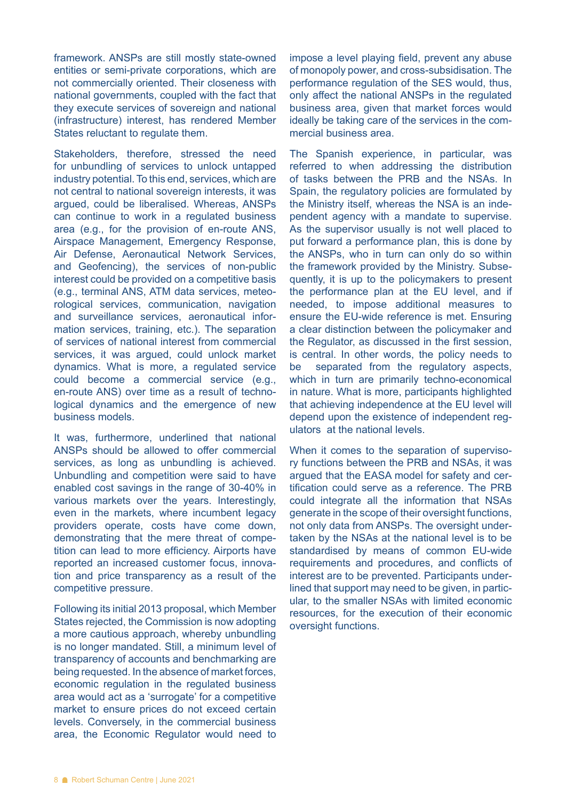framework. ANSPs are still mostly state-owned entities or semi-private corporations, which are not commercially oriented. Their closeness with national governments, coupled with the fact that they execute services of sovereign and national (infrastructure) interest, has rendered Member States reluctant to regulate them.

Stakeholders, therefore, stressed the need for unbundling of services to unlock untapped industry potential. To this end, services, which are not central to national sovereign interests, it was argued, could be liberalised. Whereas, ANSPs can continue to work in a regulated business area (e.g., for the provision of en-route ANS, Airspace Management, Emergency Response, Air Defense, Aeronautical Network Services, and Geofencing), the services of non-public interest could be provided on a competitive basis (e.g., terminal ANS, ATM data services, meteorological services, communication, navigation and surveillance services, aeronautical information services, training, etc.). The separation of services of national interest from commercial services, it was argued, could unlock market dynamics. What is more, a regulated service could become a commercial service (e.g., en-route ANS) over time as a result of technological dynamics and the emergence of new business models.

It was, furthermore, underlined that national ANSPs should be allowed to offer commercial services, as long as unbundling is achieved. Unbundling and competition were said to have enabled cost savings in the range of 30-40% in various markets over the years. Interestingly, even in the markets, where incumbent legacy providers operate, costs have come down, demonstrating that the mere threat of competition can lead to more efficiency. Airports have reported an increased customer focus, innovation and price transparency as a result of the competitive pressure.

Following its initial 2013 proposal, which Member States rejected, the Commission is now adopting a more cautious approach, whereby unbundling is no longer mandated. Still, a minimum level of transparency of accounts and benchmarking are being requested. In the absence of market forces, economic regulation in the regulated business area would act as a 'surrogate' for a competitive market to ensure prices do not exceed certain levels. Conversely, in the commercial business area, the Economic Regulator would need to impose a level playing field, prevent any abuse of monopoly power, and cross-subsidisation. The performance regulation of the SES would, thus, only affect the national ANSPs in the regulated business area, given that market forces would ideally be taking care of the services in the commercial business area.

The Spanish experience, in particular, was referred to when addressing the distribution of tasks between the PRB and the NSAs. In Spain, the regulatory policies are formulated by the Ministry itself, whereas the NSA is an independent agency with a mandate to supervise. As the supervisor usually is not well placed to put forward a performance plan, this is done by the ANSPs, who in turn can only do so within the framework provided by the Ministry. Subsequently, it is up to the policymakers to present the performance plan at the EU level, and if needed, to impose additional measures to ensure the EU-wide reference is met. Ensuring a clear distinction between the policymaker and the Regulator, as discussed in the first session, is central. In other words, the policy needs to be separated from the regulatory aspects, which in turn are primarily techno-economical in nature. What is more, participants highlighted that achieving independence at the EU level will depend upon the existence of independent regulators at the national levels.

When it comes to the separation of supervisory functions between the PRB and NSAs, it was argued that the EASA model for safety and certification could serve as a reference. The PRB could integrate all the information that NSAs generate in the scope of their oversight functions, not only data from ANSPs. The oversight undertaken by the NSAs at the national level is to be standardised by means of common EU-wide requirements and procedures, and conflicts of interest are to be prevented. Participants underlined that support may need to be given, in particular, to the smaller NSAs with limited economic resources, for the execution of their economic oversight functions.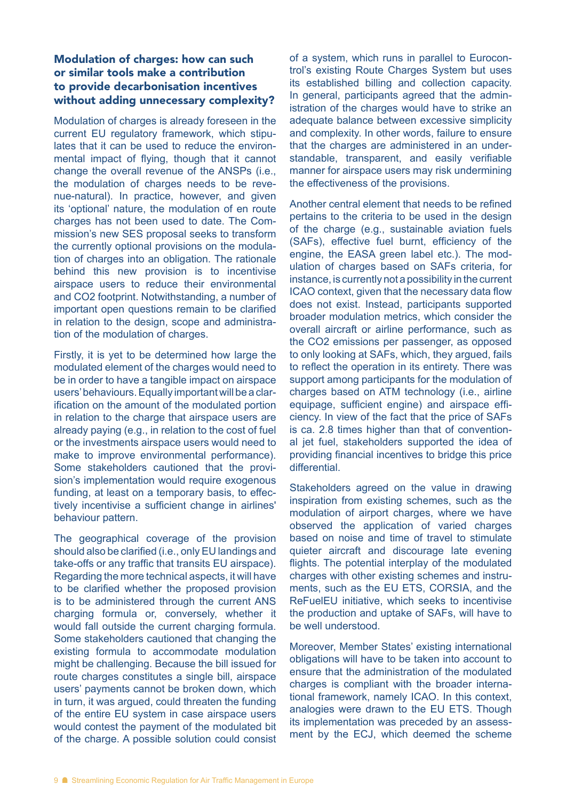#### Modulation of charges: how can such or similar tools make a contribution to provide decarbonisation incentives without adding unnecessary complexity?

Modulation of charges is already foreseen in the current EU regulatory framework, which stipulates that it can be used to reduce the environmental impact of flying, though that it cannot change the overall revenue of the ANSPs (i.e., the modulation of charges needs to be revenue-natural). In practice, however, and given its 'optional' nature, the modulation of en route charges has not been used to date. The Commission's new SES proposal seeks to transform the currently optional provisions on the modulation of charges into an obligation. The rationale behind this new provision is to incentivise airspace users to reduce their environmental and CO2 footprint. Notwithstanding, a number of important open questions remain to be clarified in relation to the design, scope and administration of the modulation of charges.

Firstly, it is yet to be determined how large the modulated element of the charges would need to be in order to have a tangible impact on airspace users' behaviours. Equally important will be a clarification on the amount of the modulated portion in relation to the charge that airspace users are already paying (e.g., in relation to the cost of fuel or the investments airspace users would need to make to improve environmental performance). Some stakeholders cautioned that the provision's implementation would require exogenous funding, at least on a temporary basis, to effectively incentivise a sufficient change in airlines' behaviour pattern.

The geographical coverage of the provision should also be clarified (i.e., only EU landings and take-offs or any traffic that transits EU airspace). Regarding the more technical aspects, it will have to be clarified whether the proposed provision is to be administered through the current ANS charging formula or, conversely, whether it would fall outside the current charging formula. Some stakeholders cautioned that changing the existing formula to accommodate modulation might be challenging. Because the bill issued for route charges constitutes a single bill, airspace users' payments cannot be broken down, which in turn, it was argued, could threaten the funding of the entire EU system in case airspace users would contest the payment of the modulated bit of the charge. A possible solution could consist

of a system, which runs in parallel to Eurocontrol's existing Route Charges System but uses its established billing and collection capacity. In general, participants agreed that the administration of the charges would have to strike an adequate balance between excessive simplicity and complexity. In other words, failure to ensure that the charges are administered in an understandable, transparent, and easily verifiable manner for airspace users may risk undermining the effectiveness of the provisions.

Another central element that needs to be refined pertains to the criteria to be used in the design of the charge (e.g., sustainable aviation fuels (SAFs), effective fuel burnt, efficiency of the engine, the EASA green label etc.). The modulation of charges based on SAFs criteria, for instance, is currently not a possibility in the current ICAO context, given that the necessary data flow does not exist. Instead, participants supported broader modulation metrics, which consider the overall aircraft or airline performance, such as the CO2 emissions per passenger, as opposed to only looking at SAFs, which, they argued, fails to reflect the operation in its entirety. There was support among participants for the modulation of charges based on ATM technology (i.e., airline equipage, sufficient engine) and airspace efficiency. In view of the fact that the price of SAFs is ca. 2.8 times higher than that of conventional jet fuel, stakeholders supported the idea of providing financial incentives to bridge this price differential.

Stakeholders agreed on the value in drawing inspiration from existing schemes, such as the modulation of airport charges, where we have observed the application of varied charges based on noise and time of travel to stimulate quieter aircraft and discourage late evening flights. The potential interplay of the modulated charges with other existing schemes and instruments, such as the EU ETS, CORSIA, and the ReFuelEU initiative, which seeks to incentivise the production and uptake of SAFs, will have to be well understood.

Moreover, Member States' existing international obligations will have to be taken into account to ensure that the administration of the modulated charges is compliant with the broader international framework, namely ICAO. In this context, analogies were drawn to the EU ETS. Though its implementation was preceded by an assessment by the ECJ, which deemed the scheme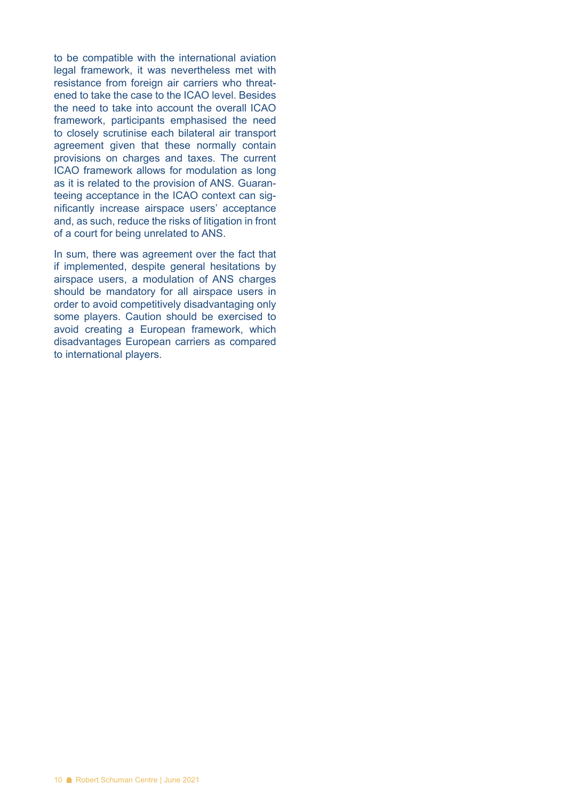to be compatible with the international aviation legal framework, it was nevertheless met with resistance from foreign air carriers who threatened to take the case to the ICAO level. Besides the need to take into account the overall ICAO framework, participants emphasised the need to closely scrutinise each bilateral air transport agreement given that these normally contain provisions on charges and taxes. The current ICAO framework allows for modulation as long as it is related to the provision of ANS. Guaranteeing acceptance in the ICAO context can significantly increase airspace users' acceptance and, as such, reduce the risks of litigation in front of a court for being unrelated to ANS.

In sum, there was agreement over the fact that if implemented, despite general hesitations by airspace users, a modulation of ANS charges should be mandatory for all airspace users in order to avoid competitively disadvantaging only some players. Caution should be exercised to avoid creating a European framework, which disadvantages European carriers as compared to international players.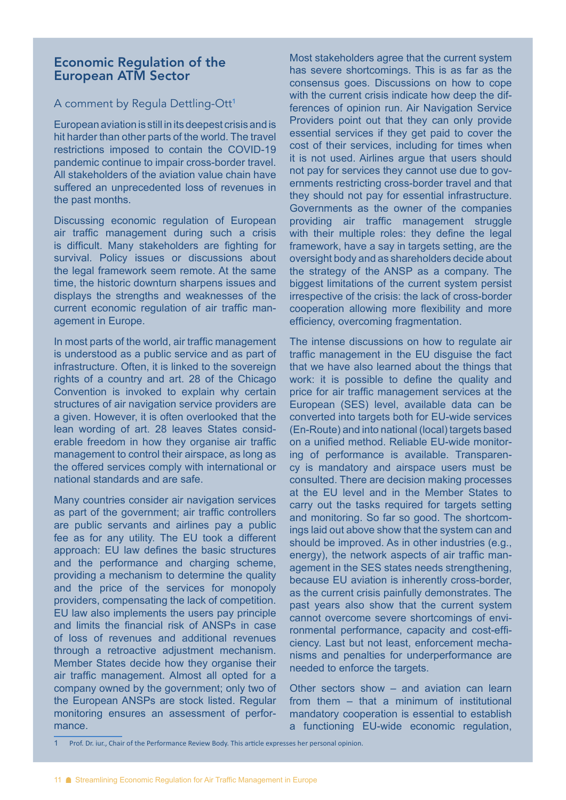## Economic Regulation of the European ATM Sector

#### A comment by Regula Dettling-Ott<sup>1</sup>

European aviation is still in its deepest crisis and is hit harder than other parts of the world. The travel restrictions imposed to contain the COVID-19 pandemic continue to impair cross-border travel. All stakeholders of the aviation value chain have suffered an unprecedented loss of revenues in the past months.

Discussing economic regulation of European air traffic management during such a crisis is difficult. Many stakeholders are fighting for survival. Policy issues or discussions about the legal framework seem remote. At the same time, the historic downturn sharpens issues and displays the strengths and weaknesses of the current economic regulation of air traffic management in Europe.

In most parts of the world, air traffic management is understood as a public service and as part of infrastructure. Often, it is linked to the sovereign rights of a country and art. 28 of the Chicago Convention is invoked to explain why certain structures of air navigation service providers are a given. However, it is often overlooked that the lean wording of art. 28 leaves States considerable freedom in how they organise air traffic management to control their airspace, as long as the offered services comply with international or national standards and are safe.

Many countries consider air navigation services as part of the government; air traffic controllers are public servants and airlines pay a public fee as for any utility. The EU took a different approach: EU law defines the basic structures and the performance and charging scheme, providing a mechanism to determine the quality and the price of the services for monopoly providers, compensating the lack of competition. EU law also implements the users pay principle and limits the financial risk of ANSPs in case of loss of revenues and additional revenues through a retroactive adjustment mechanism. Member States decide how they organise their air traffic management. Almost all opted for a company owned by the government; only two of the European ANSPs are stock listed. Regular monitoring ensures an assessment of performance.

Most stakeholders agree that the current system has severe shortcomings. This is as far as the consensus goes. Discussions on how to cope with the current crisis indicate how deep the differences of opinion run. Air Navigation Service Providers point out that they can only provide essential services if they get paid to cover the cost of their services, including for times when it is not used. Airlines argue that users should not pay for services they cannot use due to governments restricting cross-border travel and that they should not pay for essential infrastructure. Governments as the owner of the companies providing air traffic management struggle with their multiple roles: they define the legal framework, have a say in targets setting, are the oversight body and as shareholders decide about the strategy of the ANSP as a company. The biggest limitations of the current system persist irrespective of the crisis: the lack of cross-border cooperation allowing more flexibility and more efficiency, overcoming fragmentation.

The intense discussions on how to regulate air traffic management in the EU disguise the fact that we have also learned about the things that work: it is possible to define the quality and price for air traffic management services at the European (SES) level, available data can be converted into targets both for EU-wide services (En-Route) and into national (local) targets based on a unified method. Reliable EU-wide monitoring of performance is available. Transparency is mandatory and airspace users must be consulted. There are decision making processes at the EU level and in the Member States to carry out the tasks required for targets setting and monitoring. So far so good. The shortcomings laid out above show that the system can and should be improved. As in other industries (e.g., energy), the network aspects of air traffic management in the SES states needs strengthening, because EU aviation is inherently cross-border, as the current crisis painfully demonstrates. The past years also show that the current system cannot overcome severe shortcomings of environmental performance, capacity and cost-efficiency. Last but not least, enforcement mechanisms and penalties for underperformance are needed to enforce the targets.

Other sectors show – and aviation can learn from them – that a minimum of institutional mandatory cooperation is essential to establish a functioning EU-wide economic regulation,

1 Prof. Dr. iur., Chair of the Performance Review Body. This article expresses her personal opinion.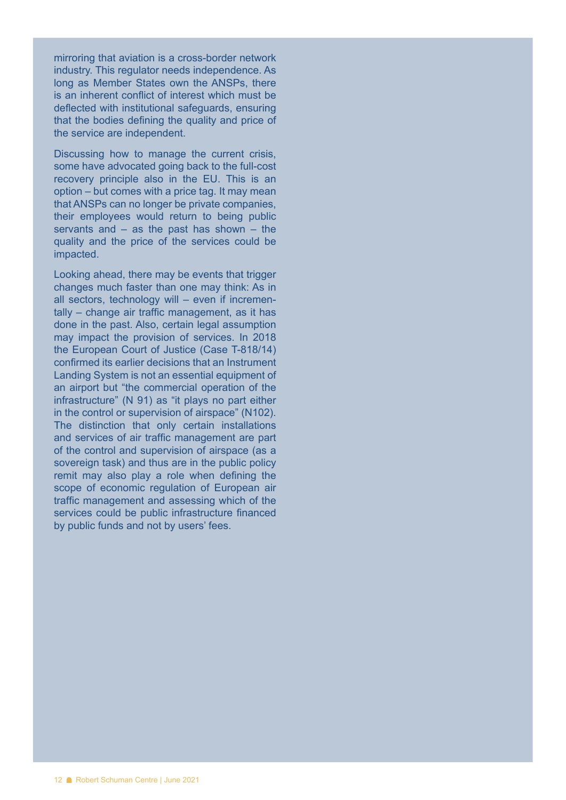mirroring that aviation is a cross-border network industry. This regulator needs independence. As long as Member States own the ANSPs, there is an inherent conflict of interest which must be deflected with institutional safeguards, ensuring that the bodies defining the quality and price of the service are independent.

Discussing how to manage the current crisis, some have advocated going back to the full-cost recovery principle also in the EU. This is an option – but comes with a price tag. It may mean that ANSPs can no longer be private companies, their employees would return to being public servants and – as the past has shown – the quality and the price of the services could be impacted.

Looking ahead, there may be events that trigger changes much faster than one may think: As in all sectors, technology will – even if incrementally – change air traffic management, as it has done in the past. Also, certain legal assumption may impact the provision of services. In 2018 the European Court of Justice (Case T-818/14) confirmed its earlier decisions that an Instrument Landing System is not an essential equipment of an airport but "the commercial operation of the infrastructure" (N 91) as "it plays no part either in the control or supervision of airspace" (N102). The distinction that only certain installations and services of air traffic management are part of the control and supervision of airspace (as a sovereign task) and thus are in the public policy remit may also play a role when defining the scope of economic regulation of European air traffic management and assessing which of the services could be public infrastructure financed by public funds and not by users' fees.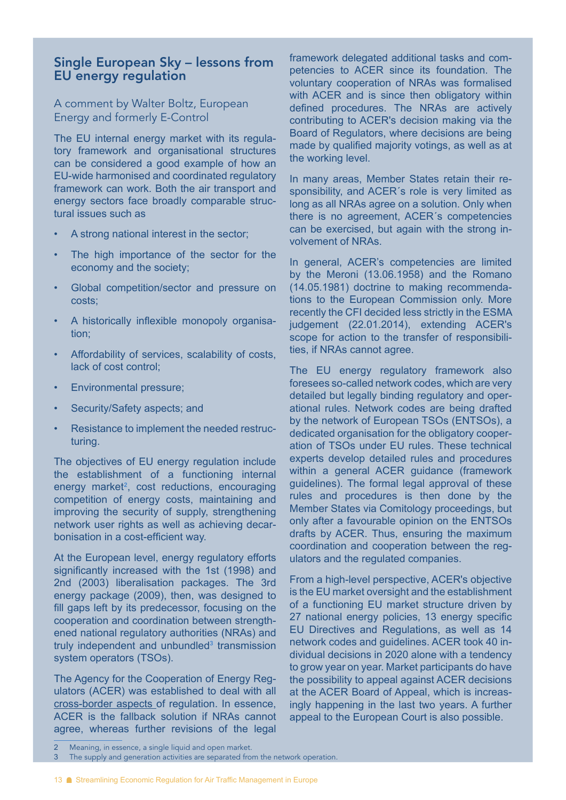## Single European Sky – lessons from EU energy regulation

A comment by Walter Boltz, European Energy and formerly E-Control

The EU internal energy market with its regulatory framework and organisational structures can be considered a good example of how an EU-wide harmonised and coordinated regulatory framework can work. Both the air transport and energy sectors face broadly comparable structural issues such as

- A strong national interest in the sector;
- The high importance of the sector for the economy and the society;
- Global competition/sector and pressure on costs;
- A historically inflexible monopoly organisation;
- Affordability of services, scalability of costs, lack of cost control;
- Environmental pressure;
- Security/Safety aspects; and
- Resistance to implement the needed restructuring.

The objectives of EU energy regulation include the establishment of a functioning internal energy market<sup>2</sup>, cost reductions, encouraging competition of energy costs, maintaining and improving the security of supply, strengthening network user rights as well as achieving decarbonisation in a cost-efficient way.

At the European level, energy regulatory efforts significantly increased with the 1st (1998) and 2nd (2003) liberalisation packages. The 3rd energy package (2009), then, was designed to fill gaps left by its predecessor, focusing on the cooperation and coordination between strengthened national regulatory authorities (NRAs) and truly independent and unbundled $3$  transmission system operators (TSOs).

The Agency for the Cooperation of Energy Regulators (ACER) was established to deal with all cross-border aspects of regulation. In essence, ACER is the fallback solution if NRAs cannot agree, whereas further revisions of the legal

framework delegated additional tasks and competencies to ACER since its foundation. The voluntary cooperation of NRAs was formalised with ACER and is since then obligatory within defined procedures. The NRAs are actively contributing to ACER's decision making via the Board of Regulators, where decisions are being made by qualified majority votings, as well as at the working level.

In many areas, Member States retain their responsibility, and ACER´s role is very limited as long as all NRAs agree on a solution. Only when there is no agreement, ACER´s competencies can be exercised, but again with the strong involvement of NRAs.

In general, ACER's competencies are limited by the Meroni (13.06.1958) and the Romano (14.05.1981) doctrine to making recommendations to the European Commission only. More recently the CFI decided less strictly in the ESMA judgement (22.01.2014), extending ACER's scope for action to the transfer of responsibilities, if NRAs cannot agree.

The EU energy regulatory framework also foresees so-called network codes, which are very detailed but legally binding regulatory and operational rules. Network codes are being drafted by the network of European TSOs (ENTSOs), a dedicated organisation for the obligatory cooperation of TSOs under EU rules. These technical experts develop detailed rules and procedures within a general ACER guidance (framework guidelines). The formal legal approval of these rules and procedures is then done by the Member States via Comitology proceedings, but only after a favourable opinion on the ENTSOs drafts by ACER. Thus, ensuring the maximum coordination and cooperation between the regulators and the regulated companies.

From a high-level perspective, ACER's objective is the EU market oversight and the establishment of a functioning EU market structure driven by 27 national energy policies, 13 energy specific EU Directives and Regulations, as well as 14 network codes and guidelines. ACER took 40 individual decisions in 2020 alone with a tendency to grow year on year. Market participants do have the possibility to appeal against ACER decisions at the ACER Board of Appeal, which is increasingly happening in the last two years. A further appeal to the European Court is also possible.

<sup>2</sup> Meaning, in essence, a single liquid and open market.

The supply and generation activities are separated from the network operation.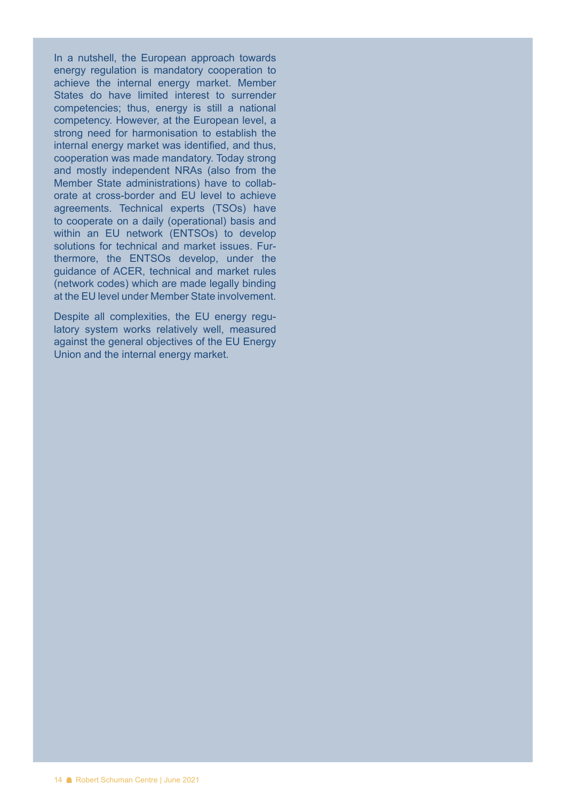In a nutshell, the European approach towards energy regulation is mandatory cooperation to achieve the internal energy market. Member States do have limited interest to surrender competencies; thus, energy is still a national competency. However, at the European level, a strong need for harmonisation to establish the internal energy market was identified, and thus, cooperation was made mandatory. Today strong and mostly independent NRAs (also from the Member State administrations) have to collaborate at cross-border and EU level to achieve agreements. Technical experts (TSOs) have to cooperate on a daily (operational) basis and within an EU network (ENTSOs) to develop solutions for technical and market issues. Furthermore, the ENTSOs develop, under the guidance of ACER, technical and market rules (network codes) which are made legally binding at the EU level under Member State involvement.

Despite all complexities, the EU energy regulatory system works relatively well, measured against the general objectives of the EU Energy Union and the internal energy market.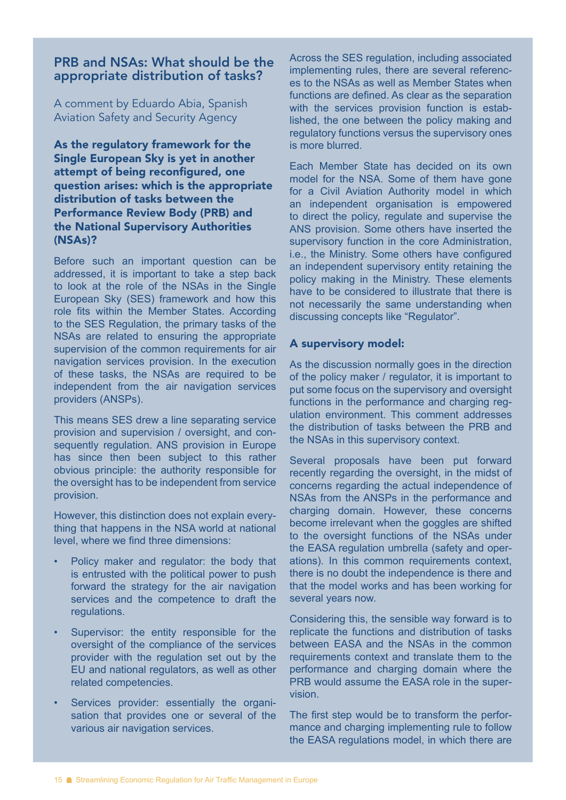## PRB and NSAs: What should be the appropriate distribution of tasks?

A comment by Eduardo Abia, Spanish Aviation Safety and Security Agency

As the regulatory framework for the Single European Sky is yet in another attempt of being reconfigured, one question arises: which is the appropriate distribution of tasks between the Performance Review Body (PRB) and the National Supervisory Authorities (NSAs)?

Before such an important question can be addressed, it is important to take a step back to look at the role of the NSAs in the Single European Sky (SES) framework and how this role fits within the Member States. According to the SES Regulation, the primary tasks of the NSAs are related to ensuring the appropriate supervision of the common requirements for air navigation services provision. In the execution of these tasks, the NSAs are required to be independent from the air navigation services providers (ANSPs).

This means SES drew a line separating service provision and supervision / oversight, and consequently regulation. ANS provision in Europe has since then been subject to this rather obvious principle: the authority responsible for the oversight has to be independent from service provision.

However, this distinction does not explain everything that happens in the NSA world at national level, where we find three dimensions:

- Policy maker and regulator: the body that is entrusted with the political power to push forward the strategy for the air navigation services and the competence to draft the regulations.
- Supervisor: the entity responsible for the oversight of the compliance of the services provider with the regulation set out by the EU and national regulators, as well as other related competencies.
- Services provider: essentially the organisation that provides one or several of the various air navigation services.

Across the SES regulation, including associated implementing rules, there are several references to the NSAs as well as Member States when functions are defined. As clear as the separation with the services provision function is established, the one between the policy making and regulatory functions versus the supervisory ones is more blurred.

Each Member State has decided on its own model for the NSA. Some of them have gone for a Civil Aviation Authority model in which an independent organisation is empowered to direct the policy, regulate and supervise the ANS provision. Some others have inserted the supervisory function in the core Administration, i.e., the Ministry. Some others have configured an independent supervisory entity retaining the policy making in the Ministry. These elements have to be considered to illustrate that there is not necessarily the same understanding when discussing concepts like "Regulator".

#### A supervisory model:

As the discussion normally goes in the direction of the policy maker / regulator, it is important to put some focus on the supervisory and oversight functions in the performance and charging regulation environment. This comment addresses the distribution of tasks between the PRB and the NSAs in this supervisory context.

Several proposals have been put forward recently regarding the oversight, in the midst of concerns regarding the actual independence of NSAs from the ANSPs in the performance and charging domain. However, these concerns become irrelevant when the goggles are shifted to the oversight functions of the NSAs under the EASA regulation umbrella (safety and operations). In this common requirements context, there is no doubt the independence is there and that the model works and has been working for several years now.

Considering this, the sensible way forward is to replicate the functions and distribution of tasks between EASA and the NSAs in the common requirements context and translate them to the performance and charging domain where the PRB would assume the EASA role in the supervision.

The first step would be to transform the performance and charging implementing rule to follow the EASA regulations model, in which there are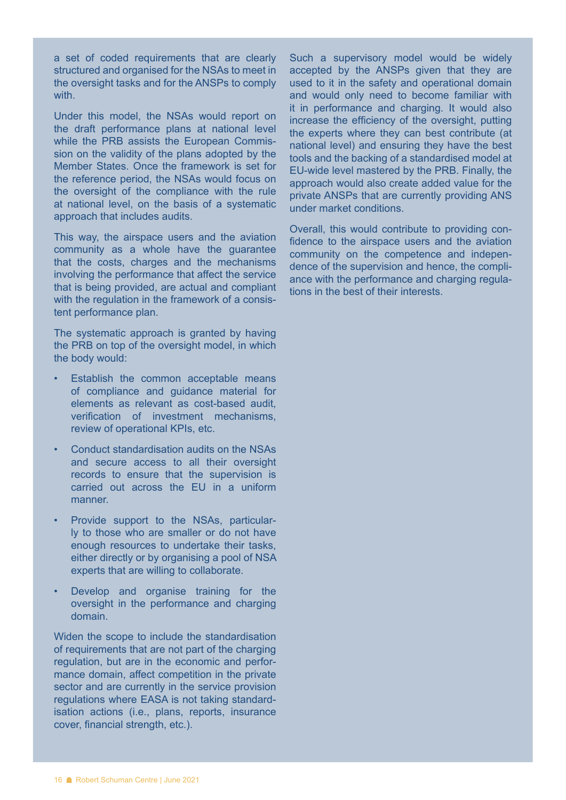a set of coded requirements that are clearly structured and organised for the NSAs to meet in the oversight tasks and for the ANSPs to comply with.

Under this model, the NSAs would report on the draft performance plans at national level while the PRB assists the European Commission on the validity of the plans adopted by the Member States. Once the framework is set for the reference period, the NSAs would focus on the oversight of the compliance with the rule at national level, on the basis of a systematic approach that includes audits.

This way, the airspace users and the aviation community as a whole have the guarantee that the costs, charges and the mechanisms involving the performance that affect the service that is being provided, are actual and compliant with the regulation in the framework of a consistent performance plan.

The systematic approach is granted by having the PRB on top of the oversight model, in which the body would:

- Establish the common acceptable means of compliance and guidance material for elements as relevant as cost-based audit, verification of investment mechanisms, review of operational KPIs, etc.
- Conduct standardisation audits on the NSAs and secure access to all their oversight records to ensure that the supervision is carried out across the EU in a uniform manner.
- Provide support to the NSAs, particularly to those who are smaller or do not have enough resources to undertake their tasks, either directly or by organising a pool of NSA experts that are willing to collaborate.
- Develop and organise training for the oversight in the performance and charging domain.

Widen the scope to include the standardisation of requirements that are not part of the charging regulation, but are in the economic and performance domain, affect competition in the private sector and are currently in the service provision regulations where EASA is not taking standardisation actions (i.e., plans, reports, insurance cover, financial strength, etc.).

Such a supervisory model would be widely accepted by the ANSPs given that they are used to it in the safety and operational domain and would only need to become familiar with it in performance and charging. It would also increase the efficiency of the oversight, putting the experts where they can best contribute (at national level) and ensuring they have the best tools and the backing of a standardised model at EU-wide level mastered by the PRB. Finally, the approach would also create added value for the private ANSPs that are currently providing ANS under market conditions.

Overall, this would contribute to providing confidence to the airspace users and the aviation community on the competence and independence of the supervision and hence, the compliance with the performance and charging regulations in the best of their interests.